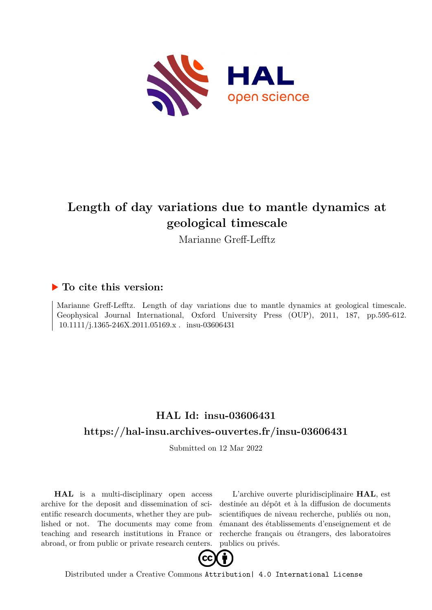

# **Length of day variations due to mantle dynamics at geological timescale**

Marianne Greff-Lefftz

## **To cite this version:**

Marianne Greff-Lefftz. Length of day variations due to mantle dynamics at geological timescale. Geophysical Journal International, Oxford University Press (OUP), 2011, 187, pp.595-612. 10.1111/j.1365-246X.2011.05169.x . insu-03606431

# **HAL Id: insu-03606431 <https://hal-insu.archives-ouvertes.fr/insu-03606431>**

Submitted on 12 Mar 2022

**HAL** is a multi-disciplinary open access archive for the deposit and dissemination of scientific research documents, whether they are published or not. The documents may come from teaching and research institutions in France or abroad, or from public or private research centers.

L'archive ouverte pluridisciplinaire **HAL**, est destinée au dépôt et à la diffusion de documents scientifiques de niveau recherche, publiés ou non, émanant des établissements d'enseignement et de recherche français ou étrangers, des laboratoires publics ou privés.



Distributed under a Creative Commons [Attribution| 4.0 International License](http://creativecommons.org/licenses/by/4.0/)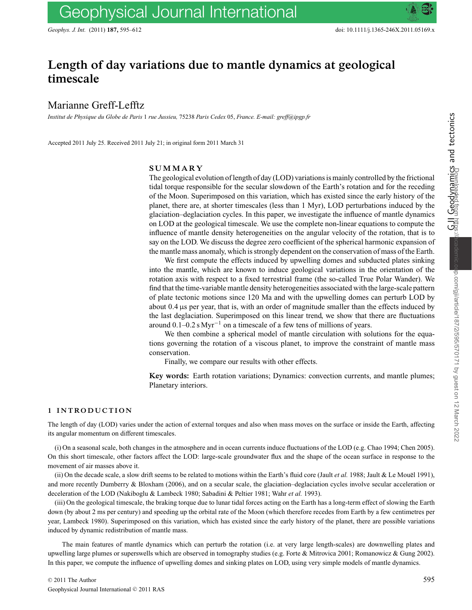## **Length of day variations due to mantle dynamics at geological timescale**

## Marianne Greff-Lefftz

*Institut de Physique du Globe de Paris* 1 *rue Jussieu,* 75238 *Paris Cedex* 05, *France. E-mail: greff@ipgp.fr*

Accepted 2011 July 25. Received 2011 July 21; in original form 2011 March 31

## **SUMMARY**

The geological evolution of length of day (LOD) variations is mainly controlled by the frictional tidal torque responsible for the secular slowdown of the Earth's rotation and for the receding of the Moon. Superimposed on this variation, which has existed since the early history of the planet, there are, at shorter timescales (less than 1 Myr), LOD perturbations induced by the glaciation–deglaciation cycles. In this paper, we investigate the influence of mantle dynamics on LOD at the geological timescale. We use the complete non-linear equations to compute the influence of mantle density heterogeneities on the angular velocity of the rotation, that is to say on the LOD. We discuss the degree zero coefficient of the spherical harmonic expansion of the mantle mass anomaly, which is strongly dependent on the conservation of mass of the Earth.

We first compute the effects induced by upwelling domes and subducted plates sinking into the mantle, which are known to induce geological variations in the orientation of the rotation axis with respect to a fixed terrestrial frame (the so-called True Polar Wander). We find that the time-variable mantle density heterogeneities associated with the large-scale pattern of plate tectonic motions since 120 Ma and with the upwelling domes can perturb LOD by about  $0.4 \mu s$  per year, that is, with an order of magnitude smaller than the effects induced by the last deglaciation. Superimposed on this linear trend, we show that there are fluctuations around  $0.1-0.2$  s Myr<sup>-1</sup> on a timescale of a few tens of millions of years.

We then combine a spherical model of mantle circulation with solutions for the equations governing the rotation of a viscous planet, to improve the constraint of mantle mass conservation.

Finally, we compare our results with other effects.

**Key words:** Earth rotation variations; Dynamics: convection currents, and mantle plumes; Planetary interiors.

### **1 INTRODUCTION**

The length of day (LOD) varies under the action of external torques and also when mass moves on the surface or inside the Earth, affecting its angular momentum on different timescales.

(i) On a seasonal scale, both changes in the atmosphere and in ocean currents induce fluctuations of the LOD (e.g. Chao 1994; Chen 2005). On this short timescale, other factors affect the LOD: large-scale groundwater flux and the shape of the ocean surface in response to the movement of air masses above it.

(ii) On the decade scale, a slow drift seems to be related to motions within the Earth's fluid core (Jault *et al.* 1988; Jault & Le Mouel 1991), and more recently Dumberry & Bloxham (2006), and on a secular scale, the glaciation–deglaciation cycles involve secular acceleration or deceleration of the LOD (Nakiboglu & Lambeck 1980; Sabadini & Peltier 1981; Wahr *et al.* 1993).

(iii) On the geological timescale, the braking torque due to lunar tidal forces acting on the Earth has a long-term effect of slowing the Earth down (by about 2 ms per century) and speeding up the orbital rate of the Moon (which therefore recedes from Earth by a few centimetres per year, Lambeck 1980). Superimposed on this variation, which has existed since the early history of the planet, there are possible variations induced by dynamic redistribution of mantle mass.

The main features of mantle dynamics which can perturb the rotation (i.e. at very large length-scales) are downwelling plates and upwelling large plumes or superswells which are observed in tomography studies (e.g. Forte & Mitrovica 2001; Romanowicz & Gung 2002). In this paper, we compute the influence of upwelling domes and sinking plates on LOD, using very simple models of mantle dynamics.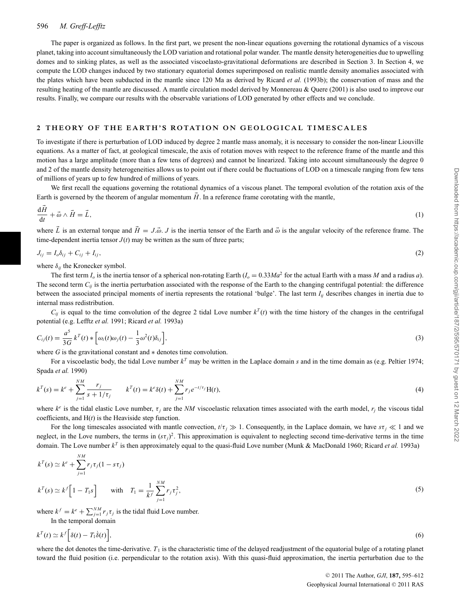The paper is organized as follows. In the first part, we present the non-linear equations governing the rotational dynamics of a viscous planet, taking into account simultaneously the LOD variation and rotational polar wander. The mantle density heterogeneities due to upwelling domes and to sinking plates, as well as the associated viscoelasto-gravitational deformations are described in Section 3. In Section 4, we compute the LOD changes induced by two stationary equatorial domes superimposed on realistic mantle density anomalies associated with the plates which have been subducted in the mantle since 120 Ma as derived by Ricard *et al.* (1993b); the conservation of mass and the resulting heating of the mantle are discussed. A mantle circulation model derived by Monnereau & Quere (2001) is also used to improve our results. Finally, we compare our results with the observable variations of LOD generated by other effects and we conclude.

#### **2 THEORY OF THE EARTH'S ROTATION ON GEOLOGICAL TIMESCALES**

To investigate if there is perturbation of LOD induced by degree 2 mantle mass anomaly, it is necessary to consider the non-linear Liouville equations. As a matter of fact, at geological timescale, the axis of rotation moves with respect to the reference frame of the mantle and this motion has a large amplitude (more than a few tens of degrees) and cannot be linearized. Taking into account simultaneously the degree 0 and 2 of the mantle density heterogeneities allows us to point out if there could be fluctuations of LOD on a timescale ranging from few tens of millions of years up to few hundred of millions of years.

We first recall the equations governing the rotational dynamics of a viscous planet. The temporal evolution of the rotation axis of the Earth is governed by the theorem of angular momentum  $H$ . In a reference frame corotating with the mantle,

$$
\frac{\mathrm{d}\vec{H}}{\mathrm{d}t} + \vec{\omega} \wedge \vec{H} = \vec{L},\tag{1}
$$

where  $\vec{L}$  is an external torque and  $\vec{H} = J \cdot \vec{\omega}$ . *J* is the inertia tensor of the Earth and  $\vec{\omega}$  is the angular velocity of the reference frame. The time-dependent inertia tensor  $J(t)$  may be written as the sum of three parts;

$$
J_{ij} = I_o \delta_{ij} + C_{ij} + I_{ij}, \qquad (2)
$$

where  $\delta_{ij}$  the Kronecker symbol.

The first term  $I_0$  is the inertia tensor of a spherical non-rotating Earth  $I_0 = 0.33Ma^2$  for the actual Earth with a mass *M* and a radius *a*). The second term  $C_{ij}$  is the inertia perturbation associated with the response of the Earth to the changing centrifugal potential: the difference between the associated principal moments of inertia represents the rotational 'bulge'. The last term *Iij* describes changes in inertia due to internal mass redistribution.

 $C_{ij}$  is equal to the time convolution of the degree 2 tidal Love number  $k^T(t)$  with the time history of the changes in the centrifugal potential (e.g. Lefftz *et al.* 1991; Ricard *et al.* 1993a)

$$
C_{ij}(t) = \frac{a^5}{3G} k^T(t) * \left[ \omega_i(t) \omega_j(t) - \frac{1}{3} \omega^2(t) \delta_{ij} \right],
$$
\n(3)

where *G* is the gravitational constant and ∗ denotes time convolution.

For a viscoelastic body, the tidal Love number  $k^T$  may be written in the Laplace domain *s* and in the time domain as (e.g. Peltier 1974; Spada *et al.* 1990)

$$
k^{T}(s) = k^{e} + \sum_{j=1}^{NM} \frac{r_{j}}{s + 1/\tau_{j}} \qquad k^{T}(t) = k^{e} \delta(t) + \sum_{j=1}^{NM} r_{j} e^{-t/\tau_{j}} H(t),
$$
\n(4)

where  $k^e$  is the tidal elastic Love number,  $\tau_i$  are the *NM* viscoelastic relaxation times associated with the earth model,  $r_i$  the viscous tidal coefficients, and H(*t*) is the Heaviside step function.

For the long timescales associated with mantle convection,  $t/\tau_j \gg 1$ . Consequently, in the Laplace domain, we have  $s\tau_j \ll 1$  and we neglect, in the Love numbers, the terms in  $(s\tau_j)^2$ . This approximation is equivalent to neglecting second time-derivative terms in the time domain. The Love number *k<sup>T</sup>* is then approximately equal to the quasi-fluid Love number (Munk & MacDonald 1960; Ricard *et al.* 1993a)

$$
k^{T}(s) \simeq k^{e} + \sum_{j=1}^{NM} r_{j} \tau_{j} (1 - s \tau_{j})
$$
  
\n
$$
k^{T}(s) \simeq k^{f} \left[ 1 - T_{1} s \right] \qquad \text{with} \quad T_{1} = \frac{1}{k^{f}} \sum_{j=1}^{NM} r_{j} \tau_{j}^{2},
$$
\n
$$
(5)
$$

where  $k^f = k^e + \sum_{j=1}^{NM} r_j \tau_j$  is the tidal fluid Love number. In the temporal domain

$$
k^{T}(t) \simeq k^{f} \Big[ \delta(t) - T_{1} \dot{\delta}(t) \Big], \tag{6}
$$

where the dot denotes the time-derivative.  $T_1$  is the characteristic time of the delayed readjustment of the equatorial bulge of a rotating planet toward the fluid position (i.e. perpendicular to the rotation axis). With this quasi-fluid approximation, the inertia perturbation due to the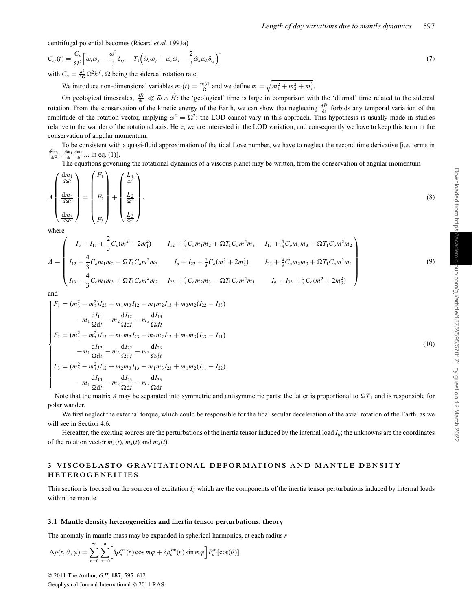centrifugal potential becomes (Ricard *et al.* 1993a)

$$
C_{ij}(t) = \frac{C_o}{\Omega^2} \Big[ \omega_i \omega_j - \frac{\omega^2}{3} \delta_{ij} - T_1 \Big( \dot{\omega}_i \omega_j + \omega_i \dot{\omega}_j - \frac{2}{3} \dot{\omega}_k \omega_k \delta_{ij} \Big) \Big]
$$
(7)

with  $C_o = \frac{a^5}{3G} \Omega^2 k^f$ ,  $\Omega$  being the sidereal rotation rate.

We introduce non-dimensional variables  $m_i(t) = \frac{\omega_i(t)}{\Omega}$  and we define  $m = \sqrt{m_1^2 + m_2^2 + m_3^3}$ .

On geological timescales,  $\frac{dH}{dt} \ll \vec{\omega} \wedge \vec{H}$ : the 'geological' time is large in comparison with the 'diurnal' time related to the sidereal rotation. From the conservation of the kinetic energy of the Earth, we can show that neglecting  $\frac{dH}{dt}$  forbids any temporal variation of the amplitude of the rotation vector, implying  $\omega^2 = \Omega^2$ : the LOD cannot vary in this approach. This hypothesis is usually made in studies relative to the wander of the rotational axis. Here, we are interested in the LOD variation, and consequently we have to keep this term in the conservation of angular momentum.

To be consistent with a quasi-fluid approximation of the tidal Love number, we have to neglect the second time derivative [i.e. terms in  $\frac{d^2m_1}{dt^2}$ ,  $\frac{dm_1}{dt} \frac{dm_2}{dt}$ ... in eq. (1)].

The equations governing the rotational dynamics of a viscous planet may be written, from the conservation of angular momentum

$$
A\begin{pmatrix} \frac{\mathrm{d}m_1}{\Omega dt} \\ \frac{\mathrm{d}m_2}{\Omega dt} \\ \frac{\mathrm{d}m_3}{\Omega dt} \end{pmatrix} = \begin{pmatrix} F_1 \\ F_2 \\ F_3 \end{pmatrix} + \begin{pmatrix} \frac{L_1}{\Omega^2} \\ \frac{L_2}{\Omega^2} \\ \frac{L_3}{\Omega^2} \end{pmatrix},
$$
\n(8)

where

$$
A = \begin{pmatrix} I_o + I_{11} + \frac{2}{3}C_o(m^2 + 2m_1^2) & I_{12} + \frac{4}{3}C_o m_1 m_2 + \Omega T_1 C_o m^2 m_3 & I_{13} + \frac{4}{3}C_o m_1 m_3 - \Omega T_1 C_o m^2 m_2 \\ I_{12} + \frac{4}{3}C_o m_1 m_2 - \Omega T_1 C_o m^2 m_3 & I_o + I_{22} + \frac{2}{3}C_o (m^2 + 2m_2^2) & I_{23} + \frac{4}{3}C_o m_2 m_3 + \Omega T_1 C_o m^2 m_1 \\ I_{13} + \frac{4}{3}C_o m_1 m_3 + \Omega T_1 C_o m^2 m_2 & I_{23} + \frac{4}{3}C_o m_2 m_3 - \Omega T_1 C_o m^2 m_1 & I_o + I_{33} + \frac{2}{3}C_o (m^2 + 2m_3^2) \end{pmatrix}
$$

and

$$
\begin{cases}\nF_1 = (m_3^2 - m_2^2)I_{23} + m_1m_3I_{12} - m_1m_2I_{13} + m_3m_2(I_{22} - I_{33}) \\
-m_1 \frac{dI_{11}}{\Omega dt} - m_2 \frac{dI_{12}}{\Omega dt} - m_3 \frac{dI_{13}}{\Omega dt} \\
F_2 = (m_1^2 - m_3^2)I_{13} + m_1m_2I_{23} - m_3m_2I_{12} + m_1m_3(I_{33} - I_{11}) \\
-m_1 \frac{dI_{12}}{\Omega dt} - m_2 \frac{dI_{22}}{\Omega dt} - m_3 \frac{dI_{23}}{\Omega dt} \\
F_3 = (m_2^2 - m_1^2)I_{12} + m_2m_3I_{13} - m_1m_3I_{23} + m_1m_2(I_{11} - I_{22}) \\
-m_1 \frac{dI_{13}}{\Omega dt} - m_2 \frac{dI_{23}}{\Omega dt} - m_3 \frac{dI_{33}}{\Omega dt}\n\end{cases}
$$
\n(10)

Note that the matrix *A* may be separated into symmetric and antisymmetric parts: the latter is proportional to  $\Omega T_1$  and is responsible for polar wander.

We first neglect the external torque, which could be responsible for the tidal secular deceleration of the axial rotation of the Earth, as we will see in Section 4.6.

Hereafter, the exciting sources are the perturbations of the inertia tensor induced by the internal load  $I_{ii}$ ; the unknowns are the coordinates of the rotation vector  $m_1(t)$ ,  $m_2(t)$  and  $m_3(t)$ .

## **3 VISCOELASTO-GRAVITATIONAL DEFORMATIONS AND MANTLE DENSITY HETEROGENEITIES**

This section is focused on the sources of excitation  $I_{ii}$  which are the components of the inertia tensor perturbations induced by internal loads within the mantle.

#### **3.1 Mantle density heterogeneities and inertia tensor perturbations: theory**

The anomaly in mantle mass may be expanded in spherical harmonics, at each radius *r*

$$
\Delta \rho(r,\theta,\varphi) = \sum_{n=0}^{\infty} \sum_{m=0}^{n} \left[ \delta \rho_n^{cm}(r) \cos m\varphi + \delta \rho_n^{sm}(r) \sin m\varphi \right] P_n^m[\cos(\theta)],
$$

© 2011 The Author, *GJI*, **187**, 595–612 Geophysical Journal International © 2011 RAS (9)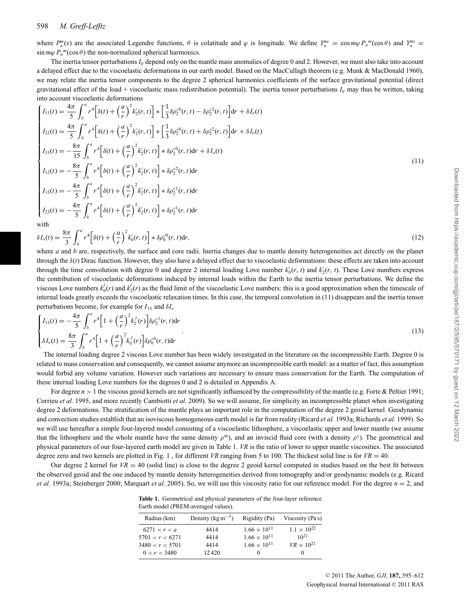## 598 *M. Greff-Lefftz*

where  $P_n^m(x)$  are the associated Legendre functions,  $\theta$  is colatitude and  $\varphi$  is longitude. We define  $Y_n^m = \cos m\varphi P_n^m(\cos \theta)$  and  $Y_n^{ms} =$  $\sin m\varphi P_n^{\ m}(\cos\theta)$  the non-normalized spherical harmonics.

The inertia tensor perturbations *Iij* depend only on the mantle mass anomalies of degree 0 and 2. However, we must also take into account a delayed effect due to the viscoelastic deformations in our earth model. Based on the MacCullagh theorem (e.g. Munk & MacDonald 1960), we may relate the inertia tensor components to the degree 2 spherical harmonics coefficients of the surface gravitational potential (direct gravitational effect of the load + viscoelastic mass redistribution potential). The inertia tensor perturbations  $I_{ij}$  may thus be written, taking into account viscoelastic deformations

$$
\begin{cases}\nI_{11}(t) = \frac{4\pi}{5} \int_{b}^{a} r^{4} \Big[ \delta(t) + \left(\frac{a}{r}\right)^{2} k_{2}'(r, t) \Big] * \Big[ \frac{1}{3} \delta \rho_{2}^{c0}(r, t) - \delta \rho_{2}^{c2}(r, t) \Big] dr + \delta I_{o}(t) \\
I_{22}(t) = \frac{4\pi}{5} \int_{b}^{a} r^{4} \Big[ \delta(t) + \left(\frac{a}{r}\right)^{2} k_{2}'(r, t) \Big] * \Big[ \frac{1}{3} \delta \rho_{2}^{c0}(r, t) + \delta \rho_{2}^{c2}(r, t) \Big] dr + \delta I_{o}(t) \\
I_{33}(t) = -\frac{8\pi}{15} \int_{b}^{a} r^{4} \Big[ \delta(t) + \left(\frac{a}{r}\right)^{2} k_{2}'(r, t) \Big] * \delta \rho_{2}^{c0}(r, t) dr + \delta I_{o}(t) \\
I_{12}(t) = -\frac{8\pi}{5} \int_{b}^{a} r^{4} \Big[ \delta(t) + \left(\frac{a}{r}\right)^{2} k_{2}'(r, t) \Big] * \delta \rho_{2}^{s2}(r, t) dr \\
I_{13}(t) = -\frac{4\pi}{5} \int_{b}^{a} r^{4} \Big[ \delta(t) + \left(\frac{a}{r}\right)^{2} k_{2}'(r, t) \Big] * \delta \rho_{2}^{c1}(r, t) dr \\
I_{23}(t) = -\frac{4\pi}{5} \int_{b}^{a} r^{4} \Big[ \delta(t) + \left(\frac{a}{r}\right)^{2} k_{2}'(r, t) \Big] * \delta \rho_{2}^{c1}(r, t) dr \\
I_{23}(t) = -\frac{4\pi}{5} \int_{b}^{a} r^{4} \Big[ \delta(t) + \left(\frac{a}{r}\right)^{2} k_{2}'(r, t) \Big] * \delta \rho_{2}^{s1}(r, t) dr\n\end{cases} (11)
$$

with

$$
\delta I_o(t) = \frac{8\pi}{3} \int_b^a r^4 \left[ \delta(t) + \left(\frac{a}{r}\right)^2 k'_0(r, t) \right] * \delta \rho_0^{c0}(r, t) dr,\tag{12}
$$

where *a* and *b* are, respectively, the surface and core radii. Inertia changes due to mantle density heterogeneities act directly on the planet through the δ(*t*) Dirac function. However, they also have a delayed effect due to viscoelastic deformations: these effects are taken into account through the time convolution with degree 0 and degree 2 internal loading Love number  $k'_0(r, t)$  and  $k'_2(r, t)$ . These Love numbers express the contribution of viscoelastic deformations induced by internal loads within the Earth to the inertia tensor perturbations. We define the viscous Love numbers  $k_0^f(r)$  and  $k_2^f(r)$  as the fluid limit of the viscoelastic Love numbers: this is a good approximation when the timescale of internal loads greatly exceeds the viscoelastic relaxation times. In this case, the temporal convolution in (11) disappears and the inertia tensor perturbations become, for example for  $I_{13}$  and  $\delta I_o$ 

$$
\begin{cases}\nI_{13}(t) = -\frac{4\pi}{5} \int_{b}^{a} r^{4} \left[ 1 + \left(\frac{a}{r}\right)^{2} k_{2}^{f}(r) \right] \delta \rho_{2}^{c1}(r, t) dr \\
\delta I_{0}(t) = \frac{8\pi}{3} \int_{b}^{a} r^{4} \left[ 1 + \left(\frac{a}{r}\right)^{2} k_{0}^{f}(r) \right] \delta \rho_{0}^{c0}(r, t) dr\n\end{cases}
$$
\n(13)

The internal loading degree 2 viscous Love number has been widely investigated in the literature on the incompressible Earth. Degree 0 is related to mass conservation and consequently, we cannot assume anymore an incompressible earth model: as a matter of fact, this assumption would forbid any volume variation. However such variations are necessary to ensure mass conservation for the Earth. The computation of these internal loading Love numbers for the degrees 0 and 2 is detailed in Appendix A.

For degree  $n > 1$  the viscous geoid kernels are not significantly influenced by the compressibility of the mantle (e.g. Forte & Peltier 1991; Corrieu *et al.* 1995, and more recently Cambiotti *et al.* 2009). So we will assume, for simplicity an incompressible planet when investigating degree 2 deformations. The stratification of the mantle plays an important role in the computation of the degree 2 geoid kernel. Geodynamic and convection studies establish that an isoviscous homogeneous earth model is far from reality (Ricard *et al.* 1993a; Richards *et al.* 1999). So we will use hereafter a simple four-layered model consisting of a viscoelastic lithosphere, a viscoelastic upper and lower mantle (we assume that the lithosphere and the whole mantle have the same density  $\rho^m$ ), and an inviscid fluid core (with a density  $\rho^c$ ). The geometrical and physical parameters of our four-layered earth model are given in Table 1. *VR* is the ratio of lower to upper mantle viscosities. The associated degree zero and two kernels are plotted in Fig. 1, for different *VR* ranging from 5 to 100. The thickest solid line is for  $VR = 40$ .

Our degree 2 kernel for  $VR = 40$  (solid line) is close to the degree 2 geoid kernel computed in studies based on the best fit between the observed geoid and the one induced by mantle density heterogeneities derived from tomography and/or geodynamic models (e.g. Ricard *et al.* 1993a; Steinberger 2000; Marquart *et al.* 2005). So, we will use this viscosity ratio for our reference model. For the degree *n* = 2, and

**Table 1.** Geometrical and physical parameters of the four-layer reference Earth model (PREM-averaged values).

| Radius (km)     | Density $(\text{kg m}^{-3})$ | Rigidity (Pa)         | Viscosity (Pas)      |  |  |
|-----------------|------------------------------|-----------------------|----------------------|--|--|
| 6271 < r < a    | 4414                         | $1.66 \times 10^{11}$ | $1.1 \times 10^{22}$ |  |  |
| 5701 < r < 6271 | 4414                         | $1.66 \times 10^{11}$ | $10^{21}$            |  |  |
| 3480 < r < 5701 | 4414                         | $1.66 \times 10^{11}$ | $VR \times 10^{21}$  |  |  |
| 0 < r < 3480    | 12420                        | $_{0}$                |                      |  |  |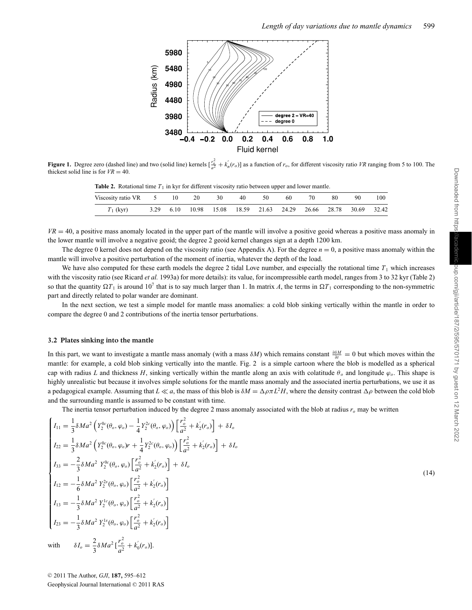

**Figure 1.** Degree zero (dashed line) and two (solid line) kernels  $\left[\frac{r_o^2}{a^2} + k'_n(r_o)\right]$  as a function of  $r_o$ , for different viscosity ratio VR ranging from 5 to 100. The thickest solid line is for  $VR = 40$ .

| <b>Table 2.</b> Rotational time 11 in Kyr for different viscosity ratio between upper and lower manue. |  |  |  |                                                                 |    |      |     |           |     |     |     |  |
|--------------------------------------------------------------------------------------------------------|--|--|--|-----------------------------------------------------------------|----|------|-----|-----------|-----|-----|-----|--|
| Viscosity ratio VR 5 10 20                                                                             |  |  |  | 30                                                              | 40 | - 50 | -60 | <b>70</b> | -80 | 90. | 100 |  |
| $T_1$ (kyr)                                                                                            |  |  |  | 3.29 6.10 10.98 15.08 18.59 21.63 24.29 26.66 28.78 30.69 32.42 |    |      |     |           |     |     |     |  |

**Table 2.** Rotational time  $T_1$  in kyr for different viscosity ratio between upper and lower mantle.

 $VR = 40$ , a positive mass anomaly located in the upper part of the mantle will involve a positive geoid whereas a positive mass anomaly in the lower mantle will involve a negative geoid; the degree 2 geoid kernel changes sign at a depth 1200 km.

The degree 0 kernel does not depend on the viscosity ratio (see Appendix A). For the degree *n* = 0, a positive mass anomaly within the mantle will involve a positive perturbation of the moment of inertia, whatever the depth of the load.

We have also computed for these earth models the degree 2 tidal Love number, and especially the rotational time  $T_1$  which increases with the viscosity ratio (see Ricard *et al.* 1993a) for more details): its value, for incompressible earth model, ranges from 3 to 32 kyr (Table 2) so that the quantity  $\Omega T_1$  is around 10<sup>7</sup> that is to say much larger than 1. In matrix *A*, the terms in  $\Omega T_1$  corresponding to the non-symmetric part and directly related to polar wander are dominant.

In the next section, we test a simple model for mantle mass anomalies: a cold blob sinking vertically within the mantle in order to compare the degree 0 and 2 contributions of the inertia tensor perturbations.

#### **3.2 Plates sinking into the mantle**

In this part, we want to investigate a mantle mass anomaly (with a mass  $\delta M$ ) which remains constant  $\frac{\partial \delta M}{\partial t} = 0$  but which moves within the mantle: for example, a cold blob sinking vertically into the mantle. Fig. 2 is a simple cartoon where the blob is modelled as a spherical cap with radius *L* and thickness *H*, sinking vertically within the mantle along an axis with colatitude  $\theta_o$  and longitude  $\varphi_o$ . This shape is highly unrealistic but because it involves simple solutions for the mantle mass anomaly and the associated inertia perturbations, we use it as a pedagogical example. Assuming that  $L \ll a$ , the mass of this blob is  $\delta M = \Delta \rho \pi L^2 H$ , where the density contrast  $\Delta \rho$  between the cold blob and the surrounding mantle is assumed to be constant with time.

The inertia tensor perturbation induced by the degree 2 mass anomaly associated with the blob at radius  $r<sub>o</sub>$  may be written

$$
\begin{cases}\nI_{11} = \frac{1}{3} \delta Ma^2 \left( Y_2^{0c}(\theta_o, \varphi_o) - \frac{1}{4} Y_2^{2c}(\theta_o, \varphi_o) \right) \left[ \frac{r_o^2}{a^2} + k_2'(r_o) \right] + \delta I_o \\
I_{22} = \frac{1}{3} \delta Ma^2 \left( Y_2^{0c}(\theta_o, \varphi_o) r + \frac{1}{4} Y_2^{2c}(\theta_o, \varphi_o) \right) \left[ \frac{r_o^2}{a^2} + k_2'(r_o) \right] + \delta I_o \\
I_{33} = -\frac{2}{3} \delta Ma^2 Y_2^{0c}(\theta_o, \varphi_o) \left[ \frac{r_o^2}{a^2} + k_2'(r_o) \right] + \delta I_o \\
I_{12} = -\frac{1}{6} \delta Ma^2 Y_2^{2s}(\theta_o, \varphi_o) \left[ \frac{r_o^2}{a^2} + k_2'(r_o) \right] \\
I_{13} = -\frac{1}{3} \delta Ma^2 Y_2^{1c}(\theta_o, \varphi_o) \left[ \frac{r_o^2}{a^2} + k_2'(r_o) \right] \\
I_{23} = -\frac{1}{3} \delta Ma^2 Y_2^{1s}(\theta_o, \varphi_o) \left[ \frac{r_o^2}{a^2} + k_2'(r_o) \right] \\
I_{23} = -\frac{1}{3} \delta Ma^2 Y_2^{1s}(\theta_o, \varphi_o) \left[ \frac{r_o^2}{a^2} + k_2'(r_o) \right] \\
\text{with} \qquad \delta I_o = \frac{2}{3} \delta Ma^2 \left[ \frac{r_o^2}{a^2} + k_0'(r_o) \right].\n\end{cases}
$$

(14)

© 2011 The Author, *GJI*, **187**, 595–612 Geophysical Journal International © 2011 RAS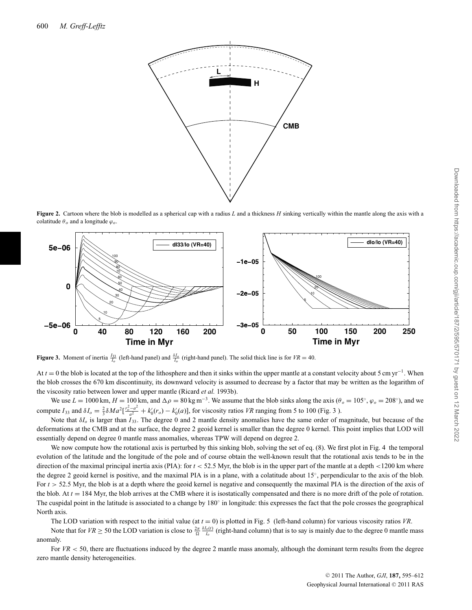

**Figure 2.** Cartoon where the blob is modelled as a spherical cap with a radius *L* and a thickness *H* sinking vertically within the mantle along the axis with a colatitude  $\theta_o$  and a longitude  $\varphi_o$ 



**Figure 3.** Moment of inertia  $\frac{I_{33}}{I_o}$  (left-hand panel) and  $\frac{\delta I_o}{I_o}$  (right-hand panel). The solid thick line is for  $VR = 40$ .

At *t* = 0 the blob is located at the top of the lithosphere and then it sinks within the upper mantle at a constant velocity about 5 cm yr<sup>-1</sup>. When the blob crosses the 670 km discontinuity, its downward velocity is assumed to decrease by a factor that may be written as the logarithm of the viscosity ratio between lower and upper mantle (Ricard *et al.* 1993b).

We use  $L = 1000$  km,  $H = 100$  km, and  $\Delta \rho = 80$  kg m<sup>-3</sup>. We assume that the blob sinks along the axis ( $\theta_o = 105°$ ,  $\varphi_o = 208°$ ), and we compute  $I_{33}$  and  $\delta I_o = \frac{2}{3} \delta M a^2 \left[ \frac{r_o^2 - a^2}{a^2} + k'_0(r_o) - k'_0(a) \right]$ , for viscosity ratios *VR* ranging from 5 to 100 (Fig. 3).

Note that δ*Io* is larger than *I* 33. The degree 0 and 2 mantle density anomalies have the same order of magnitude, but because of the deformations at the CMB and at the surface, the degree 2 geoid kernel is smaller than the degree 0 kernel. This point implies that LOD will essentially depend on degree 0 mantle mass anomalies, whereas TPW will depend on degree 2.

We now compute how the rotational axis is perturbed by this sinking blob, solving the set of eq. (8). We first plot in Fig. 4 the temporal evolution of the latitude and the longitude of the pole and of course obtain the well-known result that the rotational axis tends to be in the direction of the maximal principal inertia axis (PIA): for  $t < 52.5$  Myr, the blob is in the upper part of the mantle at a depth <1200 km where the degree 2 geoid kernel is positive, and the maximal PIA is in a plane, with a colatitude about  $15^\circ$ , perpendicular to the axis of the blob. For  $t > 52.5$  Myr, the blob is at a depth where the geoid kernel is negative and consequently the maximal PIA is the direction of the axis of the blob. At  $t = 184$  Myr, the blob arrives at the CMB where it is isostatically compensated and there is no more drift of the pole of rotation. The cuspidal point in the latitude is associated to a change by 180◦ in longitude: this expresses the fact that the pole crosses the geographical North axis.

The LOD variation with respect to the initial value (at  $t = 0$ ) is plotted in Fig. 5 (left-hand column) for various viscosity ratios VR.

Note that for  $VR \ge 50$  the LOD variation is close to  $\frac{2\pi}{\Omega} \frac{\delta I_o(t)}{I_o}$  (right-hand column) that is to say is mainly due to the degree 0 mantle mass anomaly.

For  $VR < 50$ , there are fluctuations induced by the degree 2 mantle mass anomaly, although the dominant term results from the degree zero mantle density heterogeneities.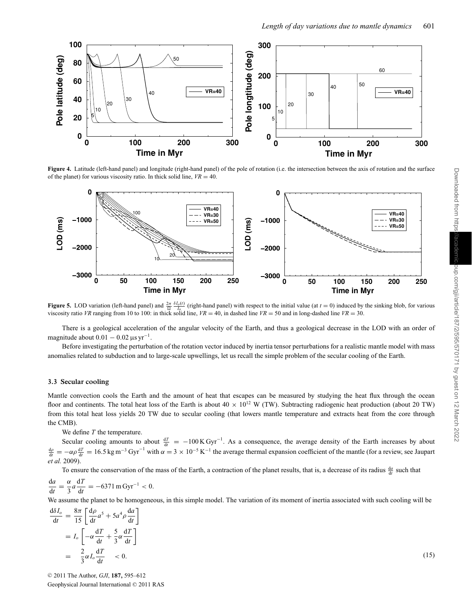

**Figure 4.** Latitude (left-hand panel) and longitude (right-hand panel) of the pole of rotation (i.e. the intersection between the axis of rotation and the surface of the planet) for various viscosity ratio. In thick solid line,  $VR = 40$ .



**Figure 5.** LOD variation (left-hand panel) and  $\frac{2\pi}{\Omega} \frac{\delta I_0(t)}{I_0}$  (right-hand panel) with respect to the initial value (at *t* = 0) induced by the sinking blob, for various viscosity ratio *VR* ranging from 10 to 100: in thick solid line,  $VR = 40$ , in dashed line  $VR = 50$  and in long-dashed line  $VR = 30$ .

There is a geological acceleration of the angular velocity of the Earth, and thus a geological decrease in the LOD with an order of magnitude about  $0.01 - 0.02 \,\mu s \,\text{yr}^{-1}$ .

Before investigating the perturbation of the rotation vector induced by inertia tensor perturbations for a realistic mantle model with mass anomalies related to subduction and to large-scale upwellings, let us recall the simple problem of the secular cooling of the Earth.

#### **3.3 Secular cooling**

Mantle convection cools the Earth and the amount of heat that escapes can be measured by studying the heat flux through the ocean floor and continents. The total heat loss of the Earth is about  $40 \times 10^{12}$  W (TW). Subtracting radiogenic heat production (about 20 TW) from this total heat loss yields 20 TW due to secular cooling (that lowers mantle temperature and extracts heat from the core through the CMB).

We define *T* the temperature.

Secular cooling amounts to about  $\frac{dT}{dt} = -100 \text{ K Gyr}^{-1}$ . As a consequence, the average density of the Earth increases by about  $\frac{d\rho}{dt} = -\alpha \rho \frac{dT}{dt} = 16.5 \text{ kg m}^{-3} \text{ Gyr}^{-1}$  with  $\alpha = 3 \times 10^{-5} \text{ K}^{-1}$  the average thermal expansion coefficient of the mantle (for a review, see Jaupart *et al.* 2009).

To ensure the conservation of the mass of the Earth, a contraction of the planet results, that is, a decrease of its radius  $\frac{da}{dt}$  such that

$$
\frac{\mathrm{d}a}{\mathrm{d}t} = \frac{\alpha}{3}a\frac{\mathrm{d}T}{\mathrm{d}t} = -6371 \,\mathrm{m} \,\mathrm{Gyr}^{-1} < 0.
$$

We assume the planet to be homogeneous, in this simple model. The variation of its moment of inertia associated with such cooling will be

$$
\frac{d\delta I_o}{dt} = \frac{8\pi}{15} \left[ \frac{d\rho}{dt} a^5 + 5a^4 \rho \frac{da}{dt} \right]
$$
  
=  $I_o \left[ -\alpha \frac{dT}{dt} + \frac{5}{3} \alpha \frac{dT}{dt} \right]$   
=  $\frac{2}{3} \alpha I_o \frac{dT}{dt} < 0.$  (15)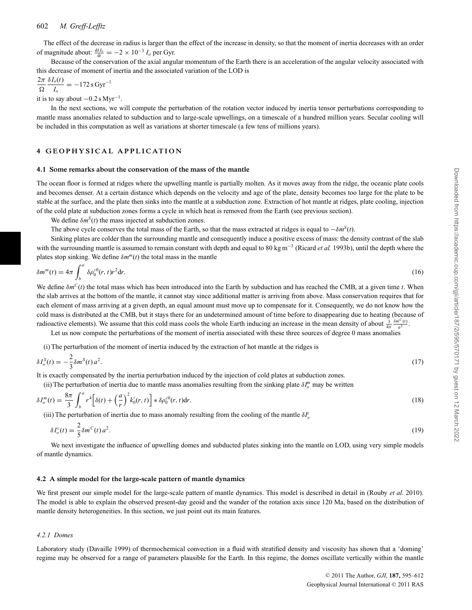## 602 *M. Greff-Lefftz*

The effect of the decrease in radius is larger than the effect of the increase in density, so that the moment of inertia decreases with an order of magnitude about:  $\frac{d\delta I_o}{dt} = -2 \times 10^{-3} I_o$  per Gyr.

Because of the conservation of the axial angular momentum of the Earth there is an acceleration of the angular velocity associated with this decrease of moment of inertia and the associated variation of the LOD is

$$
\frac{2\pi}{\Omega} \frac{\delta I_o(t)}{I_o} = -172 \text{ s Gyr}^{-1}
$$
  
it is to say about  $-0.2 \text{ s Myr}^{-1}$ .

In the next sections, we will compute the perturbation of the rotation vector induced by inertia tensor perturbations corresponding to mantle mass anomalies related to subduction and to large-scale upwellings, on a timescale of a hundred million years. Secular cooling will be included in this computation as well as variations at shorter timescale (a few tens of millions years).

## **4 GEOPHYSICAL APPLICATION**

#### **4.1 Some remarks about the conservation of the mass of the mantle**

The ocean floor is formed at ridges where the upwelling mantle is partially molten. As it moves away from the ridge, the oceanic plate cools and becomes denser. At a certain distance which depends on the velocity and age of the plate, density becomes too large for the plate to be stable at the surface, and the plate then sinks into the mantle at a subduction zone. Extraction of hot mantle at ridges, plate cooling, injection of the cold plate at subduction zones forms a cycle in which heat is removed from the Earth (see previous section).

We define  $\delta m^S(t)$  the mass injected at subduction zones.

The above cycle conserves the total mass of the Earth, so that the mass extracted at ridges is equal to −δ*mS*(*t*).

Sinking plates are colder than the surrounding mantle and consequently induce a positive excess of mass: the density contrast of the slab with the surrounding mantle is assumed to remain constant with depth and equal to 80 kg m−<sup>3</sup> (Ricard *et al.* 1993b), until the depth where the plates stop sinking. We define  $\delta m^m(t)$  the total mass in the mantle

$$
\delta m^m(t) = 4\pi \int_b^a \delta \rho_0^{c0}(r,t) r^2 \mathrm{d}r. \tag{16}
$$

We define  $\delta m^C(t)$  the total mass which has been introduced into the Earth by subduction and has reached the CMB, at a given time *t*. When the slab arrives at the bottom of the mantle, it cannot stay since additional matter is arriving from above. Mass conservation requires that for each element of mass arriving at a given depth, an equal amount must move up to compensate for it. Consequently, we do not know how the cold mass is distributed at the CMB, but it stays there for an undetermined amount of time before to disappearing due to heating (because of radioactive elements). We assume that this cold mass cools the whole Earth inducing an increase in the mean density of about  $\frac{3}{4\pi} \frac{\delta m^C(t)}{a^3}$ .

Let us now compute the perturbations of the moment of inertia associated with these three sources of degree 0 mass anomalies

(i) The perturbation of the moment of inertia induced by the extraction of hot mantle at the ridges is

$$
\delta I_o^S(t) = -\frac{2}{3} \delta m^S(t) a^2.
$$
 (17)

It is exactly compensated by the inertia perturbation induced by the injection of cold plates at subduction zones.

(ii) The perturbation of inertia due to mantle mass anomalies resulting from the sinking plate  $\delta I_o^m$  may be written

$$
\delta I_o^m(t) = \frac{8\pi}{3} \int_b^a r^4 \left[ \delta(t) + \left(\frac{a}{r}\right)^2 k_0'(r, t) \right] \ast \delta \rho_0^{c0}(r, t) dr. \tag{18}
$$

(iii) The perturbation of inertia due to mass anomaly resulting from the cooling of the mantle  $\delta I_o^c$ 

$$
\delta I_o^c(t) = \frac{2}{5} \delta m^c(t) a^2. \tag{19}
$$

We next investigate the influence of upwelling domes and subducted plates sinking into the mantle on LOD, using very simple models of mantle dynamics.

#### **4.2 A simple model for the large-scale pattern of mantle dynamics**

We first present our simple model for the large-scale pattern of mantle dynamics. This model is described in detail in (Rouby *et al.* 2010). The model is able to explain the observed present-day geoid and the wander of the rotation axis since 120 Ma, based on the distribution of mantle density heterogeneities. In this section, we just point out its main features.

#### *4.2.1 Domes*

Laboratory study (Davaille 1999) of thermochemical convection in a fluid with stratified density and viscosity has shown that a 'doming' regime may be observed for a range of parameters plausible for the Earth. In this regime, the domes oscillate vertically within the mantle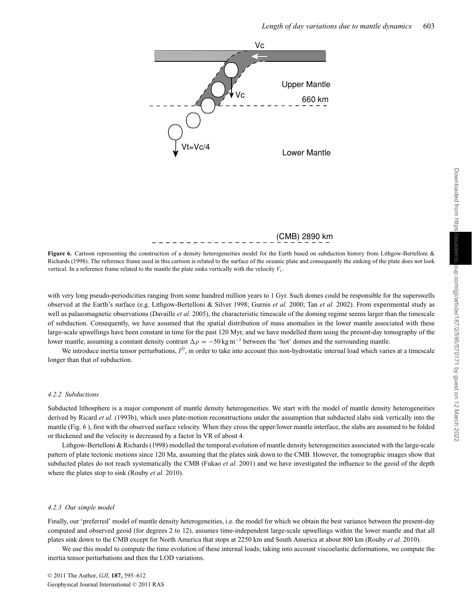

(CMB) 2890 km

Figure 6. Cartoon representing the construction of a density heterogeneities model for the Earth based on subduction history from Lithgow-Bertelloni & Richards (1998). The reference frame used in this cartoon is related to the surface of the oceanic plate and consequently the sinking of the plate does not look vertical. In a reference frame related to the mantle the plate sinks vertically with the velocity  $V_c$ .

with very long pseudo-periodicities ranging from some hundred million years to 1 Gyr. Such domes could be responsible for the superswells observed at the Earth's surface (e.g. Lithgow-Bertelloni & Silver 1998; Gurnis *et al.* 2000; Tan *et al.* 2002). From experimental study as well as palaeomagnetic observations (Davaille *et al.* 2005), the characteristic timescale of the doming regime seems larger than the timescale of subduction. Consequently, we have assumed that the spatial distribution of mass anomalies in the lower mantle associated with these large-scale upwellings have been constant in time for the past 120 Myr, and we have modelled them using the present-day tomography of the lower mantle, assuming a constant density contrast  $\Delta \rho = -50 \text{ kg m}^{-3}$  between the 'hot' domes and the surrounding mantle.

We introduce inertia tensor perturbations,  $I^D$ , in order to take into account this non-hydrostatic internal load which varies at a timescale longer than that of subduction.

#### *4.2.2 Subductions*

Subducted lithosphere is a major component of mantle density heterogeneities. We start with the model of mantle density heterogeneities derived by Ricard *et al.* (1993b), which uses plate-motion reconstructions under the assumption that subducted slabs sink vertically into the mantle (Fig. 6 ), first with the observed surface velocity. When they cross the upper/lower mantle interface, the slabs are assumed to be folded or thickened and the velocity is decreased by a factor ln VR of about 4.

Lithgow-Bertelloni & Richards (1998) modelled the temporal evolution of mantle density heterogeneities associated with the large-scale pattern of plate tectonic motions since 120 Ma, assuming that the plates sink down to the CMB. However, the tomographic images show that subducted plates do not reach systematically the CMB (Fukao *et al.* 2001) and we have investigated the influence to the geoid of the depth where the plates stop to sink (Rouby *et al.* 2010).

#### *4.2.3 Our simple model*

Finally, our 'preferred' model of mantle density heterogeneities, i.e. the model for which we obtain the best variance between the present-day computed and observed geoid (for degrees 2 to 12), assumes time-independent large-scale upwellings within the lower mantle and that all plates sink down to the CMB except for North America that stops at 2250 km and South America at about 800 km (Rouby *et al.* 2010).

We use this model to compute the time evolution of these internal loads; taking into account viscoelastic deformations, we compute the inertia tensor perturbations and then the LOD variations.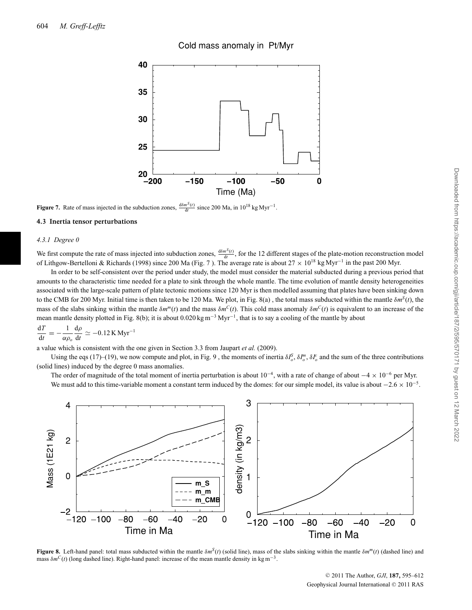## Cold mass anomaly in Pt/Myr



**Figure 7.** Rate of mass injected in the subduction zones,  $\frac{d\delta m^S(t)}{dt}$  since 200 Ma, in 10<sup>18</sup> kg Myr<sup>-1</sup>.

#### **4.3 Inertia tensor perturbations**

#### *4.3.1 Degree 0*

We first compute the rate of mass injected into subduction zones,  $\frac{d\delta m^S(t)}{dt}$ , for the 12 different stages of the plate-motion reconstruction model of Lithgow-Bertelloni & Richards (1998) since 200 Ma (Fig. 7 ). The average rate is about 27 × 10<sup>18</sup> kg Myr−<sup>1</sup> in the past 200 Myr.

In order to be self-consistent over the period under study, the model must consider the material subducted during a previous period that amounts to the characteristic time needed for a plate to sink through the whole mantle. The time evolution of mantle density heterogeneities associated with the large-scale pattern of plate tectonic motions since 120 Myr is then modelled assuming that plates have been sinking down to the CMB for 200 Myr. Initial time is then taken to be 120 Ma. We plot, in Fig. 8(a), the total mass subducted within the mantle  $\delta m^S(t)$ , the mass of the slabs sinking within the mantle  $\delta m^{m}(t)$  and the mass  $\delta m^{C}(t)$ . This cold mass anomaly  $\delta m^{C}(t)$  is equivalent to an increase of the mean mantle density plotted in Fig. 8(b); it is about 0.020 kg m<sup>-3</sup> Myr<sup>-1</sup>, that is to say a cooling of the mantle by about

$$
\frac{\mathrm{d}T}{\mathrm{d}t} = -\frac{1}{\alpha\rho_o} \frac{\mathrm{d}\rho}{\mathrm{d}t} \simeq -0.12 \,\mathrm{K} \,\mathrm{Myr}^{-1}
$$

a value which is consistent with the one given in Section 3.3 from Jaupart *et al.* (2009).

Using the eqs (17)–(19), we now compute and plot, in Fig. 9, the moments of inertia  $\delta I_o^S$ ,  $\delta I_o^m$ ,  $\delta I_o^c$  and the sum of the three contributions (solid lines) induced by the degree 0 mass anomalies.

The order of magnitude of the total moment of inertia perturbation is about  $10^{-4}$ , with a rate of change of about  $-4 \times 10^{-6}$  per Myr. We must add to this time-variable moment a constant term induced by the domes: for our simple model, its value is about  $-2.6 \times 10^{-5}$ .



**Figure 8.** Left-hand panel: total mass subducted within the mantle  $\delta m^S(t)$  (solid line), mass of the slabs sinking within the mantle  $\delta m^m(t)$  (dashed line) and mass  $\delta m^C(t)$  (long dashed line). Right-hand panel: increase of the mean mantle density in kg m<sup>-3</sup>.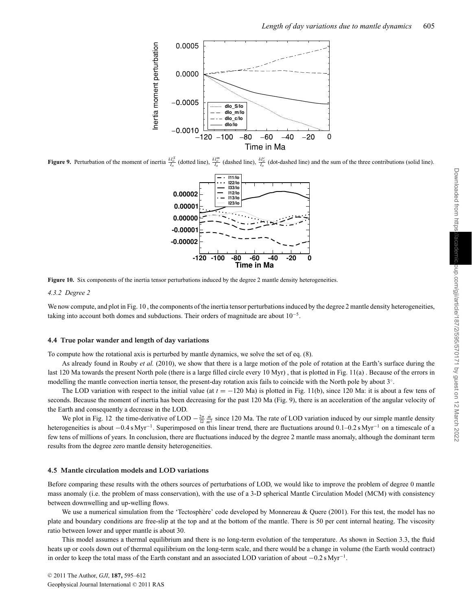

**Figure 9.** Perturbation of the moment of inertia  $\frac{\delta I_o^S}{I_o}$  (dotted line),  $\frac{\delta I_o^m}{I_o}$  (dashed line),  $\frac{\delta I_o^C}{I_o}$  (dot-dashed line) and the sum of the three contributions (solid line).



Figure 10. Six components of the inertia tensor perturbations induced by the degree 2 mantle density heterogeneities.

#### *4.3.2 Degree 2*

We now compute, and plot in Fig. 10, the components of the inertia tensor perturbations induced by the degree 2 mantle density heterogeneities, taking into account both domes and subductions. Their orders of magnitude are about  $10^{-5}$ .

#### **4.4 True polar wander and length of day variations**

To compute how the rotational axis is perturbed by mantle dynamics, we solve the set of eq. (8).

As already found in Rouby *et al.* (2010), we show that there is a large motion of the pole of rotation at the Earth's surface during the last 120 Ma towards the present North pole (there is a large filled circle every 10 Myr) , that is plotted in Fig. 11(a) . Because of the errors in modelling the mantle convection inertia tensor, the present-day rotation axis fails to coincide with the North pole by about 3◦.

The LOD variation with respect to the initial value (at *t* = −120 Ma) is plotted in Fig. 11(b), since 120 Ma: it is about a few tens of seconds. Because the moment of inertia has been decreasing for the past 120 Ma (Fig. 9), there is an acceleration of the angular velocity of the Earth and consequently a decrease in the LOD.

We plot in Fig. 12 the time-derivative of LOD  $-\frac{2\pi}{\Omega} \frac{\dot{m}}{m^2}$  since 120 Ma. The rate of LOD variation induced by our simple mantle density heterogeneities is about −0.4 s Myr<sup>−1</sup>. Superimposed on this linear trend, there are fluctuations around 0.1–0.2 s Myr<sup>−1</sup> on a timescale of a few tens of millions of years. In conclusion, there are fluctuations induced by the degree 2 mantle mass anomaly, although the dominant term results from the degree zero mantle density heterogeneities.

#### **4.5 Mantle circulation models and LOD variations**

Before comparing these results with the others sources of perturbations of LOD, we would like to improve the problem of degree 0 mantle mass anomaly (i.e. the problem of mass conservation), with the use of a 3-D spherical Mantle Circulation Model (MCM) with consistency between downwelling and up-welling flows.

We use a numerical simulation from the 'Tectosphère' code developed by Monnereau & Quere (2001). For this test, the model has no plate and boundary conditions are free-slip at the top and at the bottom of the mantle. There is 50 per cent internal heating. The viscosity ratio between lower and upper mantle is about 30.

This model assumes a thermal equilibrium and there is no long-term evolution of the temperature. As shown in Section 3.3, the fluid heats up or cools down out of thermal equilibrium on the long-term scale, and there would be a change in volume (the Earth would contract) in order to keep the total mass of the Earth constant and an associated LOD variation of about −0.2 s Myr−1.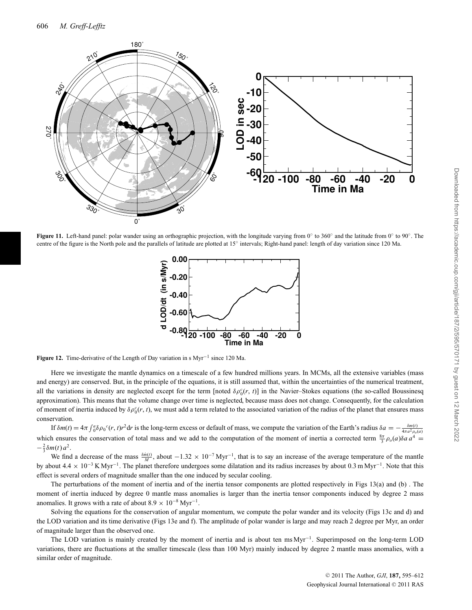

**Figure 11.** Left-hand panel: polar wander using an orthographic projection, with the longitude varying from 0° to 360° and the latitude from 0° to 90°. The centre of the figure is the North pole and the parallels of latitude are plotted at 15◦ intervals; Right-hand panel: length of day variation since 120 Ma.



**Figure 12.** Time-derivative of the Length of Day variation in s Myr−<sup>1</sup> since 120 Ma.

Here we investigate the mantle dynamics on a timescale of a few hundred millions years. In MCMs, all the extensive variables (mass and energy) are conserved. But, in the principle of the equations, it is still assumed that, within the uncertainties of the numerical treatment, all the variations in density are neglected except for the term [noted  $\delta \rho_0^c(r, t)$ ] in the Navier–Stokes equations (the so-called Boussinesq approximation). This means that the volume change over time is neglected, because mass does not change. Consequently, for the calculation of moment of inertia induced by  $\delta \rho_0^c(r, t)$ , we must add a term related to the associated variation of the radius of the planet that ensures mass conservation.

If  $\delta m(t) = 4\pi \int_0^a \delta \rho_0^c(r, t) r^2 dr$  is the long-term excess or default of mass, we compute the variation of the Earth's radius  $\delta a = -\frac{\delta m(t)}{4\pi a^2 \rho_0(a)}$ <br>which ensures the conservation of total mass and we add to the c  $-\frac{2}{3}\delta m(t) a^2$ .

We find a decrease of the mass  $\frac{\delta \dot{m}(t)}{M}$ , about  $-1.32 \times 10^{-7}$  Myr<sup>-1</sup>, that is to say an increase of the average temperature of the mantle by about 4.4 × 10−<sup>3</sup> K Myr−1. The planet therefore undergoes some dilatation and its radius increases by about 0.3 m Myr−1. Note that this effect is several orders of magnitude smaller than the one induced by secular cooling.

The perturbations of the moment of inertia and of the inertia tensor components are plotted respectively in Figs 13(a) and (b) . The moment of inertia induced by degree 0 mantle mass anomalies is larger than the inertia tensor components induced by degree 2 mass anomalies. It grows with a rate of about  $8.9 \times 10^{-8}$  Myr<sup>-1</sup>.

Solving the equations for the conservation of angular momentum, we compute the polar wander and its velocity (Figs 13c and d) and the LOD variation and its time derivative (Figs 13e and f). The amplitude of polar wander is large and may reach 2 degree per Myr, an order of magnitude larger than the observed one.

The LOD variation is mainly created by the moment of inertia and is about ten ms Myr−1. Superimposed on the long-term LOD variations, there are fluctuations at the smaller timescale (less than 100 Myr) mainly induced by degree 2 mantle mass anomalies, with a similar order of magnitude.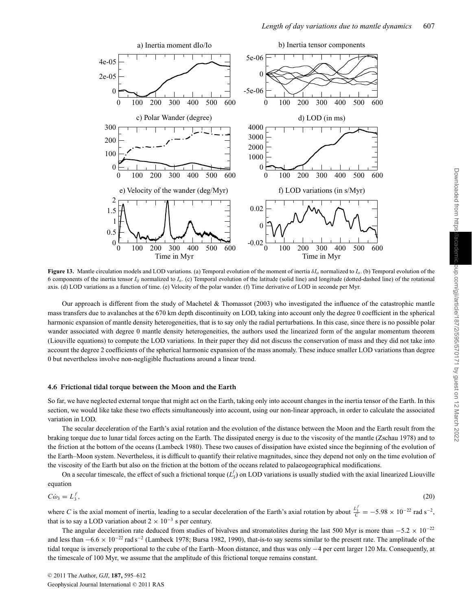

**Figure 13.** Mantle circulation models and LOD variations. (a) Temporal evolution of the moment of inertia  $\delta I_o$  normalized to  $I_o$ . (b) Temporal evolution of the 6 components of the inertia tensor *Iij* normalized to *Io*. (c) Temporal evolution of the latitude (solid line) and longitude (dotted-dashed line) of the rotational axis. (d) LOD variations as a function of time. (e) Velocity of the polar wander. (f) Time derivative of LOD in seconde per Myr.

Our approach is different from the study of Machetel & Thomassot (2003) who investigated the influence of the catastrophic mantle mass transfers due to avalanches at the 670 km depth discontinuity on LOD, taking into account only the degree 0 coefficient in the spherical harmonic expansion of mantle density heterogeneities, that is to say only the radial perturbations. In this case, since there is no possible polar wander associated with degree 0 mantle density heterogeneities, the authors used the linearized form of the angular momentum theorem (Liouville equations) to compute the LOD variations. In their paper they did not discuss the conservation of mass and they did not take into account the degree 2 coefficients of the spherical harmonic expansion of the mass anomaly. These induce smaller LOD variations than degree 0 but nevertheless involve non-negligible fluctuations around a linear trend.

#### **4.6 Frictional tidal torque between the Moon and the Earth**

So far, we have neglected external torque that might act on the Earth, taking only into account changes in the inertia tensor of the Earth. In this section, we would like take these two effects simultaneously into account, using our non-linear approach, in order to calculate the associated variation in LOD.

The secular deceleration of the Earth's axial rotation and the evolution of the distance between the Moon and the Earth result from the braking torque due to lunar tidal forces acting on the Earth. The dissipated energy is due to the viscosity of the mantle (Zschau 1978) and to the friction at the bottom of the oceans (Lambeck 1980). These two causes of dissipation have existed since the beginning of the evolution of the Earth–Moon system. Nevertheless, it is difficult to quantify their relative magnitudes, since they depend not only on the time evolution of the viscosity of the Earth but also on the friction at the bottom of the oceans related to palaeogeographical modifications.

On a secular timescale, the effect of such a frictional torque  $(L_3)$  on LOD variations is usually studied with the axial linearized Liouville equation

$$
C\dot{\omega}_3 = L_3^f,\tag{20}
$$

where *C* is the axial moment of inertia, leading to a secular deceleration of the Earth's axial rotation by about  $\frac{L_3^f}{C} = -5.98 \times 10^{-22}$  rad s<sup>-2</sup>, that is to say a LOD variation about  $2 \times 10^{-3}$  s per century.

The angular deceleration rate deduced from studies of bivalves and stromatolites during the last 500 Myr is more than  $-5.2 \times 10^{-22}$ and less than −6.6 × 10−<sup>22</sup> rad s−<sup>2</sup> (Lambeck 1978; Bursa 1982, 1990), that-is-to say seems similar to the present rate. The amplitude of the tidal torque is inversely proportional to the cube of the Earth–Moon distance, and thus was only −4 per cent larger 120 Ma. Consequently, at the timescale of 100 Myr, we assume that the amplitude of this frictional torque remains constant.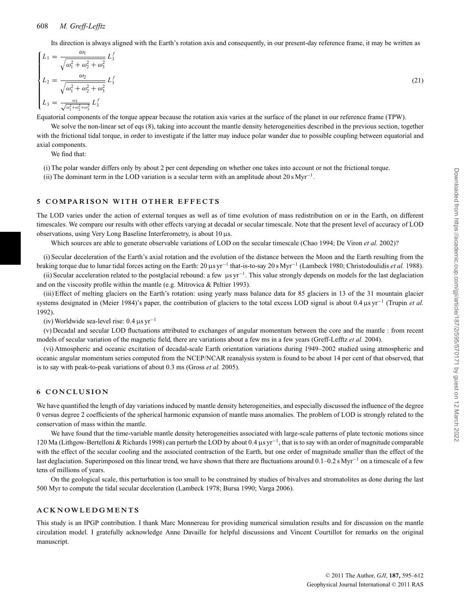Its direction is always aligned with the Earth's rotation axis and consequently, in our present-day reference frame, it may be written as

$$
\begin{cases}\nL_1 = \frac{\omega_1}{\sqrt{\omega_1^2 + \omega_2^2 + \omega_3^2}} L_3^f \\
L_2 = \frac{\omega_2}{\sqrt{\omega_1^2 + \omega_2^2 + \omega_3^2}} L_3^f \\
L_3 = \frac{\omega_3}{\sqrt{\omega_1^2 + \omega_2^2 + \omega_3^2}} L_3^f\n\end{cases}
$$
\n(21)

Equatorial components of the torque appear because the rotation axis varies at the surface of the planet in our reference frame (TPW).

We solve the non-linear set of eqs (8), taking into account the mantle density heterogeneities described in the previous section, together with the frictional tidal torque, in order to investigate if the latter may induce polar wander due to possible coupling between equatorial and axial components.

We find that:

(i) The polar wander differs only by about 2 per cent depending on whether one takes into account or not the frictional torque.

(ii) The dominant term in the LOD variation is a secular term with an amplitude about 20 s Myr<sup>-1</sup>.

#### **5 COMPARISON WITH OTHER EFFECTS**

The LOD varies under the action of external torques as well as of time evolution of mass redistribution on or in the Earth, on different timescales. We compare our results with other effects varying at decadal or secular timescale. Note that the present level of accuracy of LOD observations, using Very Long Baseline Interferometry, is about 10 µs.

Which sources are able to generate observable variations of LOD on the secular timescale (Chao 1994; De Viron *et al.* 2002)?

(i) Secular deceleration of the Earth's axial rotation and the evolution of the distance between the Moon and the Earth resulting from the braking torque due to lunar tidal forces acting on the Earth: 20 µs yr−<sup>1</sup> that-is-to-say 20 s Myr−<sup>1</sup> (Lambeck 1980; Christodoulidis *et al.* 1988).

(ii) Secular acceleration related to the postglacial rebound: a few  $\mu syr^{-1}$ . This value strongly depends on models for the last deglaciation and on the viscosity profile within the mantle (e.g. Mitrovica & Peltier 1993).

(iii) Effect of melting glaciers on the Earth's rotation: using yearly mass balance data for 85 glaciers in 13 of the 31 mountain glacier systems designated in (Meier 1984)'s paper, the contribution of glaciers to the total excess LOD signal is about 0.4 µs yr<sup>−1</sup> (Trupin *et al.*) 1992).

(iv) Worldwide sea-level rise: 0.4 µs yr−<sup>1</sup>

(v) Decadal and secular LOD fluctuations attributed to exchanges of angular momentum between the core and the mantle : from recent models of secular variation of the magnetic field, there are variations about a few ms in a few years (Greff-Lefftz *et al.* 2004).

(vi) Atmospheric and oceanic excitation of decadal-scale Earth orientation variations during 1949–2002 studied using atmospheric and oceanic angular momentum series computed from the NCEP/NCAR reanalysis system is found to be about 14 per cent of that observed, that is to say with peak-to-peak variations of about 0.3 ms (Gross *et al.* 2005).

#### **6 CONCLUSION**

We have quantified the length of day variations induced by mantle density heterogeneities, and especially discussed the influence of the degree 0 versus degree 2 coefficients of the spherical harmonic expansion of mantle mass anomalies. The problem of LOD is strongly related to the conservation of mass within the mantle.

We have found that the time-variable mantle density heterogeneities associated with large-scale patterns of plate tectonic motions since 120 Ma (Lithgow-Bertelloni & Richards 1998) can perturb the LOD by about 0.4 µs yr−1, that is to say with an order of magnitude comparable with the effect of the secular cooling and the associated contraction of the Earth, but one order of magnitude smaller than the effect of the last deglaciation. Superimposed on this linear trend, we have shown that there are fluctuations around 0.1–0.2 s Myr−<sup>1</sup> on a timescale of a few tens of millions of years.

On the geological scale, this perturbation is too small to be constrained by studies of bivalves and stromatolites as done during the last 500 Myr to compute the tidal secular deceleration (Lambeck 1978; Bursa 1990; Varga 2006).

### **ACKNOWLEDGMENTS**

This study is an IPGP contribution. I thank Marc Monnereau for providing numerical simulation results and for discussion on the mantle circulation model. I gratefully acknowledge Anne Davaille for helpful discussions and Vincent Courtillot for remarks on the original manuscript.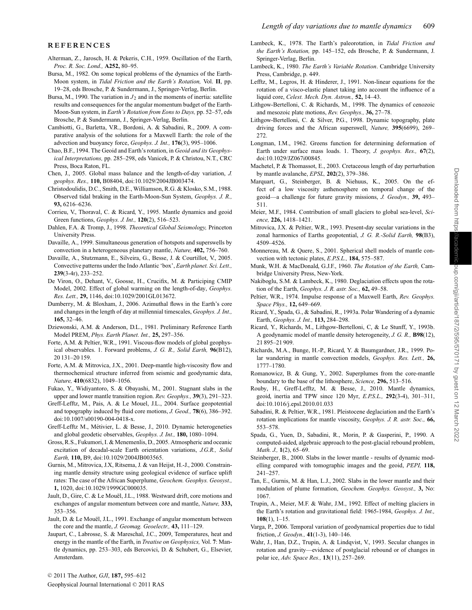#### **REFERENCES**

- Alterman, Z., Jarosch, H. & Pekeris, C.H., 1959. Oscillation of the Earth, *Proc. R. Soc. Lond.,* **A252,** 80–95.
- Bursa, M., 1982. On some topical problems of the dynamics of the Earth-Moon system, in *Tidal Friction and the Earth's Rotation,* Vol. **II**, pp. 19–28, eds Brosche, P. & Sundermann, J., Springer-Verlag, Berlin.
- Bursa, M., 1990. The variation in  $J_2$  and in the moments of inertia: satellite results and consequences for the angular momentum budget of the Earth-Moon-Sun system, in *Earth's Rotation from Eons to Days,* pp. 52–57, eds Brosche, P. & Sundermann, J., Springer-Verlag, Berlin.
- Cambiotti, G., Barletta, V.R., Bordoni, A. & Sabadini, R., 2009. A comparative analysis of the solutions for a Maxwell Earth: the role of the advection and buoyancy force, *Geophys. J. Int.,* **176**(3), 995–1006.
- Chao, B.F., 1994. The Geoid and Earth's rotation, in *Geoid and its Geophysical Interpretations,* pp. 285–298, eds Vanicek, P. & Christou, N.T., CRC Press, Boca Raton, FL.
- Chen, J., 2005. Global mass balance and the length-of-day variation, *J. geophys. Res.,* **110,** B08404, doi:10.1029/2004JB003474.
- Christodoulidis, D.C., Smith, D.E., Williamson, R.G. & Klosko, S.M., 1988. Observed tidal braking in the Earth-Moon-Sun System, *Geophys. J. R.,* **93,** 6216–6236.
- Corrieu, V., Thoraval, C. & Ricard, Y., 1995. Mantle dynamics and geoid Green functions, *Geophys. J. Int.,* **120**(2), 516–523.
- Dahlen, F.A. & Tromp, J., 1998. *Theoretical Global Seismology,* Princeton University Press.
- Davaille, A., 1999. Simultaneous generation of hotspots and superswells by convection in a heterogeneous planetary mantle, *Nature,* **402,** 756–760.
- Davaille, A., Stutzmann, E., Silveira, G., Besse, J. & Courtillot, V., 2005. Convective patterns under the Indo Atlantic 'box', *Earth planet. Sci. Lett.,* **239**(3-4r), 233–252.
- De Viron, O., Dehant, V., Goosse, H., Crucifix, M. & Participing CMIP Model, 2002. Effect of global warming on the length-of-day, *Geophys. Res. Lett.,* **29,** 1146, doi:10.1029/2001GL013672.
- Dumberry, M. & Bloxham, J., 2006. Azimuthal flows in the Earth's core and changes in the length of day at millennial timescales, *Geophys. J. Int.,* **165,** 32–46.
- Dziewonski, A.M. & Anderson, D.L., 1981. Preliminary Reference Earth Model PREM, *Phys. Earth Planet. Int.,* **25,** 297–356.
- Forte, A.M. & Peltier, W.R., 1991. Viscous-flow models of global geophysical observables. 1. Forward problems, *J. G. R., Solid Earth,* **96**(B12), 20 131–20 159.
- Forte, A.M. & Mitrovica, J.X., 2001. Deep-mantle high-viscosity flow and thermochemical structure inferred from seismic and geodynamic data, *Nature,* **410**(6832), 1049–1056.
- Fukao, Y., Widiyantoro, S. & Obayashi, M., 2001. Stagnant slabs in the upper and lower mantle transition region. *Rev. Geophys.,* **39**(3), 291–323.
- Greff-Lefftz, M., Pais, A. & Le Mouel, J.L., 2004. Surface geopotential and topography induced by fluid core motions, *J. Geod.,* **78**(6), 386–392. doi:10.1007/s00190-004-0418-x.
- Greff-Lefftz M., Métivier, L. & Besse, J., 2010. Dynamic heterogeneties and global geodetic observables, *Geophys. J. Int.,* **180,** 1080–1094.
- Gross, R.S., Fukumori, I. & Menemenlis, D., 2005. Atmospheric and oceanic excitation of decadal-scale Earth orientation variations, *J.G.R., Solid Earth,* **110,** B9, doi:10.1029/2004JB003565.
- Gurnis, M., Mitrovica, J.X, Ritsema, J. & van Heijst, H.-J., 2000. Constraining mantle density structure using geological evidence of surface uplift rates: The case of the African Superplume, *Geochem. Geophys. Geosyst.,* **1,** 1020, doi:10.1029/1999GC000035.
- Jault, D., Gire, C. & Le Mouël, J.L., 1988. Westward drift, core motions and exchanges of angular momentum between core and mantle, *Nature,* **333,** 353–356.
- Jault, D. & Le Mouël, J.L., 1991. Exchange of angular momentum between the core and the mantle, *J. Geomag. Geoelectr.,* **43,** 111–129.
- Jaupart, C., Labrosse, S. & Mareschal, J.C., 2009, Temperatures, heat and energy in the mantle of the Earth, in *Treatise on Geophysics,* Vol. **7**: Mantle dynamics, pp. 253–303, eds Bercovici, D. & Schubert, G., Elsevier, Amsterdam.
- Lambeck, K., 1978. The Earth's paleorotation, in *Tidal Friction and the Earth's Rotation,* pp. 145–152, eds Brosche, P. & Sundermann, J. Springer-Verlag, Berlin.
- Lambeck, K., 1980. *The Earth's Variable Rotation*. Cambridge University Press, Cambridge, p. 449.
- Lefftz, M., Legros, H. & Hinderer, J., 1991. Non-linear equations for the rotation of a visco-elastic planet taking into account the influence of a liquid core, *Celest. Mech. Dyn. Astron.,* **52,** 14–43.
- Lithgow-Bertelloni, C. & Richards, M., 1998. The dynamics of cenozoic and mesozoic plate motions, *Rev. Geophys.,* **36,** 27–78.
- Lithgow-Bertelloni, C. & Silver, P.G., 1998. Dynamic topography, plate driving forces and the African superswell, *Nature,* **395**(6699), 269– 272.
- Longman, I.M., 1962. Greens function for determining deformation of Earth under surface mass loads. 1. Theory, *J. geophys. Res.,* **67**(2), doi:10.1029/JZ067i00845.
- Machetel, P. & Thomassot, E., 2003. Cretaceous length of day perturbation by mantle avalanche, *EPSL,* **202**(2), 379–386.
- Marquart, G., Steinberger, B. & Niehuus, K., 2005. On the effect of a low viscosity asthenosphere on temporal change of the geoid—a challenge for future gravity missions, *J. Geodyn.,* **39,** 493– 511.
- Meier, M.F., 1984. Contribution of small glaciers to global sea-level, *Science,* **226,** 1418–1421.
- Mitrovica, J.X. & Peltier, W.R., 1993. Present-day secular variations in the zonal harmonics of Earths geopotential, *J. G. R.-Solid Earth,* **98**(B3), 4509–4526.
- Monnereau, M. & Quere, S., 2001. Spherical shell models of mantle convection with tectonic plates, *E.P.S.L.,* **184,** 575–587.
- Munk, W.H. & MacDonald, G.J.F., 1960. *The Rotation of the Earth,* Cambridge University Press, New-York.
- Nakiboglu, S.M. & Lambeck, K., 1980. Deglaciation effects upon the rotation of the Earth, *Geophys. J. R. astr. Soc.,* **62,** 49–58.
- Peltier, W.R., 1974. Impulse response of a Maxwell Earth, *Rev. Geophys. Space Phys.,* **12,** 649–669.
- Ricard, Y., Spada, G., & Sabadini, R., 1993a. Polar Wandering of a dynamic Earth, *Geophys. J. Int.,* **113,** 284–298.
- Ricard, Y., Richards, M., Lithgow-Bertelloni, C, & Le Stunff, Y., 1993b. A geodynamic model of mantle density heterogeneity, *J. G. R.,* **B98**(12), 21 895–21 909.
- Richards, M.A., Bunge, H.-P., Ricard, Y. & Baumgardner, J.R., 1999. Polar wandering in mantle convection models, *Geophys. Res. Lett.,* **26,** 1777–1780.
- Romanowicz, B. & Gung, Y., 2002. Superplumes from the core-mantle boundary to the base of the lithosphere, *Science,* **296,** 513–516.
- Rouby, H., Greff-Lefftz, M. & Besse, J., 2010. Mantle dynamics, geoid, inertia and TPW since 120 Myr, *E.P.S.L.,* **292**(3-4), 301–311, doi:10.1016/j.epsl.2010.01.033
- Sabadini, R. & Peltier, W.R., 1981. Pleistocene deglaciation and the Earth's rotation implications for mantle viscosity, *Geophys. J. R. astr. Soc.,* **66,** 553–578.
- Spada, G., Yuen, D., Sabadini, R., Morin, P. & Gasperini, P., 1990. A computed-aided, algebraic approach to the post-glacial rebound problem, *Math. J.,* **1**(2), 65–69.
- Steinberger, B., 2000. Slabs in the lower mantle results of dynamic modelling compared with tomographic images and the geoid, *PEPI,* **118,** 241–257.
- Tan, E., Gurnis, M. & Han, L.J., 2002. Slabs in the lower mantle and their modulation of plume formation, *Geochem. Geophys. Geosyst.,* **3,** No: 1067.
- Trupin, A., Meier, M.F. & Wahr, J.M., 1992. Effect of melting glaciers in the Earth's rotation and gravitational field: 1965-1984, *Geophys. J. Int.,* **108**(1), 1–15.
- Varga, P., 2006. Temporal variation of geodynamical properties due to tidal friction, *J. Geodyn.,* **41**(1-3), 140–146.
- Wahr, J., Han, D.Z., Trupin, A. & Lindqvist, V., 1993. Secular changes in rotation and gravity—evidence of postglacial rebound or of changes in polar ice, *Adv. Space Res.,* **13**(11), 257–269.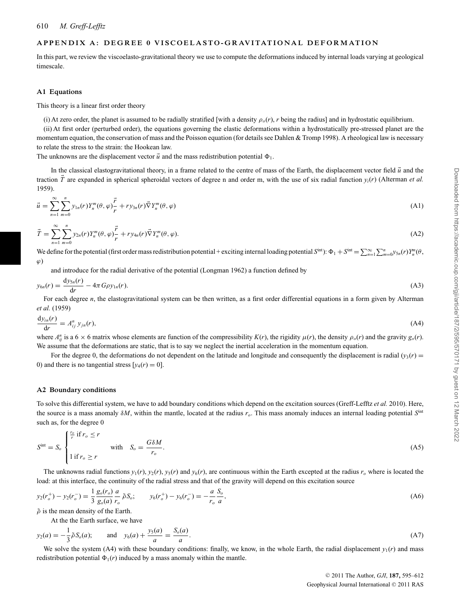## APPENDIX A: DEGREE 0 VISCOELASTO-GRAVITATIONAL DEFORMATION

In this part, we review the viscoelasto-gravitational theory we use to compute the deformations induced by internal loads varying at geological timescale.

#### **A1 Equations**

This theory is a linear first order theory

(i) At zero order, the planet is assumed to be radially stratified [with a density  $\rho_o(r)$ , *r* being the radius] and in hydrostatic equilibrium.

(ii) At first order (perturbed order), the equations governing the elastic deformations within a hydrostatically pre-stressed planet are the momentum equation, the conservation of mass and the Poisson equation (for details see Dahlen & Tromp 1998). A rheological law is necessary to relate the stress to the strain: the Hookean law.

The unknowns are the displacement vector  $\vec{u}$  and the mass redistribution potential  $\Phi_1$ .

In the classical elastogravitational theory, in a frame related to the centre of mass of the Earth, the displacement vector field  $\vec{u}$  and the traction *T* are expanded in spherical spheroidal vectors of degree n and order m, with the use of six radial function *yi*(*r*) (Alterman *et al.* 1959).

$$
\vec{u} = \sum_{n=1}^{\infty} \sum_{m=0}^{n} y_{1n}(r) Y_n^m(\theta, \varphi) \frac{\vec{r}}{r} + r y_{3n}(r) \vec{\nabla} Y_n^m(\theta, \varphi)
$$
\n(A1)

$$
\vec{T} = \sum_{n=1}^{\infty} \sum_{m=0}^{n} y_{2n}(r) Y_n^m(\theta, \varphi) \frac{\vec{r}}{r} + r y_{4n}(r) \vec{\nabla} Y_n^m(\theta, \varphi).
$$
\n(A2)

We define for the potential (first order mass redistribution potential + exciting internal loading potential  $S^{int}$ ):  $\Phi_1 + S^{int} = \sum_{n=1}^{\infty} \sum_{m=0}^{n} y_{5n}(r) Y_n^m(\theta, \theta)$  $\varphi$ )

and introduce for the radial derivative of the potential (Longman 1962) a function defined by

$$
y_{6n}(r) = \frac{\mathrm{d}y_{5n}(r)}{\mathrm{d}r} - 4\pi G\rho y_{1n}(r). \tag{A3}
$$

For each degree *n*, the elastogravitational system can be then written, as a first order differential equations in a form given by Alterman *et al.* (1959)

$$
\frac{\mathrm{d}y_{in}(r)}{\mathrm{d}r} = A_{ij}^n y_{jn}(r),\tag{A4}
$$

where  $A_{ij}^n$  is a 6  $\times$  6 matrix whose elements are function of the compressibility  $K(r)$ , the rigidity  $\mu(r)$ , the density  $\rho_o(r)$  and the gravity  $g_o(r)$ . We assume that the deformations are static, that is to say we neglect the inertial acceleration in the momentum equation.

For the degree 0, the deformations do not dependent on the latitude and longitude and consequently the displacement is radial  $(y_3(r)$ 0) and there is no tangential stress  $[y_4(r) = 0]$ .

#### **A2 Boundary conditions**

To solve this differential system, we have to add boundary conditions which depend on the excitation sources (Greff-Lefftz *et al.* 2010). Here, the source is a mass anomaly δ*M*, within the mantle, located at the radius *ro*. This mass anomaly induces an internal loading potential *S*int such as, for the degree 0

$$
Sint = So \begin{cases} \frac{r_o}{r} \text{ if } r_o \le r \\ 1 \text{ if } r_o \ge r \end{cases} \qquad \text{with} \quad S_o = \frac{G \delta M}{r_o}.
$$
 (A5)

The unknowns radial functions  $y_1(r)$ ,  $y_2(r)$ ,  $y_5(r)$  and  $y_6(r)$ , are continuous within the Earth excepted at the radius  $r_0$  where is located the load: at this interface, the continuity of the radial stress and that of the gravity will depend on this excitation source

$$
y_2(r_o^+) - y_2(r_o^-) = \frac{1}{3} \frac{g_o(r_o)}{g_o(a)} \frac{a}{r_o} \tilde{\rho} S_o; \qquad y_6(r_o^+) - y_6(r_o^-) = -\frac{a}{r_o} \frac{S_o}{a}, \tag{A6}
$$

 $\tilde{\rho}$  is the mean density of the Earth.

At the the Earth surface, we have

$$
y_2(a) = -\frac{1}{3}\tilde{\rho}S_o(a);
$$
 and  $y_6(a) + \frac{y_5(a)}{a} = \frac{S_o(a)}{a}.$  (A7)

We solve the system (A4) with these boundary conditions: finally, we know, in the whole Earth, the radial displacement  $y_1(r)$  and mass redistribution potential  $\Phi_1(r)$  induced by a mass anomaly within the mantle.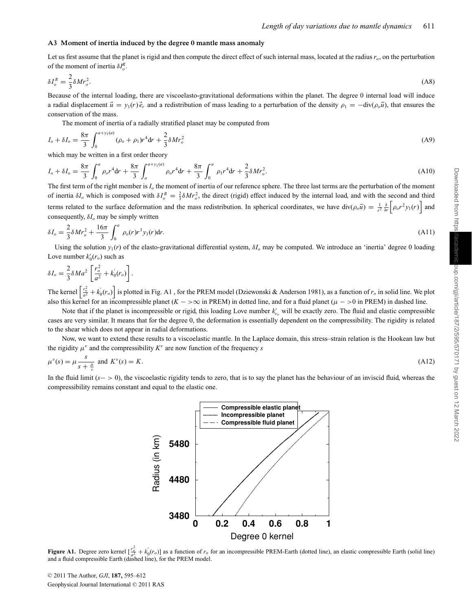#### **A3 Moment of inertia induced by the degree 0 mantle mass anomaly**

Let us first assume that the planet is rigid and then compute the direct effect of such internal mass, located at the radius  $r<sub>o</sub>$ , on the perturbation of the moment of inertia  $\delta I_o^R$ .

$$
\delta I_o^R = \frac{2}{3} \delta M r_o^2. \tag{A8}
$$

Because of the internal loading, there are viscoelasto-gravitational deformations within the planet. The degree 0 internal load will induce a radial displacement  $\vec{u} = y_1(r)\vec{e}_r$  and a redistribution of mass leading to a perturbation of the density  $\rho_1 = -\text{div}(\rho_o\vec{u})$ , that ensures the conservation of the mass.

The moment of inertia of a radially stratified planet may be computed from

$$
I_o + \delta I_o = \frac{8\pi}{3} \int_0^{a+y_1(a)} (\rho_o + \rho_1) r^4 dr + \frac{2}{3} \delta M r_o^2
$$
 (A9)

which may be written in a first order theory

$$
I_o + \delta I_o = \frac{8\pi}{3} \int_0^a \rho_o r^4 dr + \frac{8\pi}{3} \int_a^{a+y_1(a)} \rho_o r^4 dr + \frac{8\pi}{3} \int_0^a \rho_1 r^4 dr + \frac{2}{3} \delta M r_o^2.
$$
 (A10)

The first term of the right member is *Io* the moment of inertia of our reference sphere. The three last terms are the perturbation of the moment of inertia  $\delta I_o$  which is composed with  $\delta I_o^R = \frac{2}{3} \delta M r_o^2$ , the direct (rigid) effect induced by the internal load, and with the second and third terms related to the surface deformation and the mass redistribution. In spherical coordinates, we have  $\text{div}(\rho_o \vec{u}) = \frac{1}{r^2} \frac{\partial}{\partial r} \left[ \rho_o r^2 y_1(r) \right]$  and consequently, δ*Io* may be simply written

$$
\delta I_o = \frac{2}{3} \delta M r_o^2 + \frac{16\pi}{3} \int_0^a \rho_o(r) r^3 y_1(r) dr.
$$
 (A11)

Using the solution  $y_1(r)$  of the elasto-gravitational differential system,  $\delta I_o$  may be computed. We introduce an 'inertia' degree 0 loading Love number  $k'_0(r_o)$  such as

$$
\delta I_o = \frac{2}{3} \delta M a^2 \left[ \frac{r_o^2}{a^2} + k_0'(r_o) \right].
$$
  
The *kernel*  $\left[ \frac{r_o^2}{a^2} + k'(r_o) \right]$  is plotted in Fig. A1, for the PREM model (Dziewonski & Anderson 1981), as a function of r, in solid line. We plot

The kernel  $\left[\frac{r_o^2}{a^2} + k'_0(r_o)\right]$  is plotted in Fig. A1, for the PREM model (Dziewonski & Anderson 1981), as a function of  $r_o$  in solid line. We plot also this kernel for an incompressible planet  $(K - \infty)$  in PREM) in dotted line, and for a fluid planet ( $\mu$  -  $>$ 0 in PREM) in dashed line.

Note that if the planet is incompressible or rigid, this loading Love number  $k'_{r_o}$  will be exactly zero. The fluid and elastic compressible cases are very similar. It means that for the degree 0, the deformation is essentially dependent on the compressibility. The rigidity is related to the shear which does not appear in radial deformations.

Now, we want to extend these results to a viscoelastic mantle. In the Laplace domain, this stress–strain relation is the Hookean law but the rigidity  $\mu^v$  and the compressibility  $K^v$  are now function of the frequency *s* 

$$
\mu^v(s) = \mu \frac{s}{s + \frac{\mu}{v}} \text{ and } K^v(s) = K. \tag{A12}
$$

In the fluid limit (*s*− > 0), the viscoelastic rigidity tends to zero, that is to say the planet has the behaviour of an inviscid fluid, whereas the compressibility remains constant and equal to the elastic one.



**Figure A1.** Degree zero kernel  $\left[\frac{r_o^2}{a^2} + k'_0(r_o)\right]$  as a function of  $r_o$  for an incompressible PREM-Earth (dotted line), an elastic compressible Earth (solid line) and a fluid compressible Earth (dashed line), for the PREM model.

© 2011 The Author, *GJI*, **187**, 595–612 Geophysical Journal International © 2011 RAS